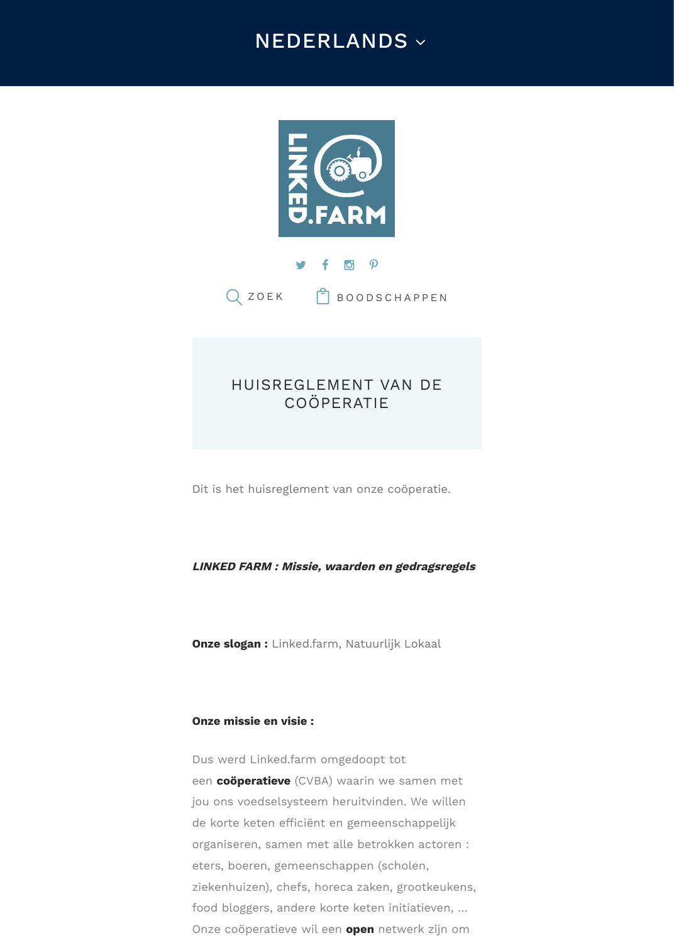



Q ZOEK | BOODSCHAPPEN

# HUIS[REGLEMENT VA](https://linked.farm/nl/)N DE COÖPERATIE

Dit is het huisreglem[ent van onze coöperatie.](https://linked.farm/nl/shop/)

#### **LINKED FARM : Missie, waarden en gedragsregels**

**Onze slogan :** Linked.farm, Natuurlijk Lokaal

#### **Onze missie en visie :**

Dus werd Linked.farm omgedoopt tot een **coöperatieve** (CVBA) waarin we samen met jou ons voedselsysteem heruitvinden. We willen de korte keten efficiënt en gemeenschappelijk organiseren, samen met alle betrokken actoren : eters, boeren, gemeenschappen (scholen, ziekenhuizen), chefs, horeca zaken, grootkeukens, food bloggers, andere korte keten initiatieven, … Onze coöperatieve wil een **open** netwerk zijn om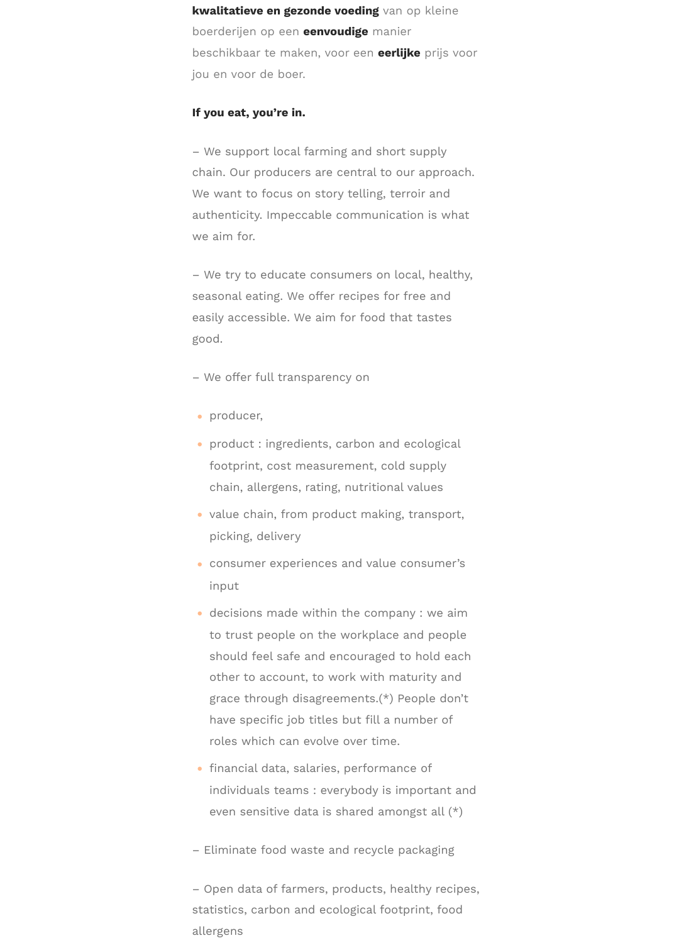**kwalitatieve en gezonde voeding** van op kleine boerderijen op een **eenvoudige** manier beschikbaar te maken, voor een **eerlijke** prijs voor jou en voor de boer.

#### **If you eat, you're in.**

– We support local farming and short supply chain. Our producers are central to our approach. We want to focus on story telling, terroir and authenticity. Impeccable communication is what we aim for.

– We try to educate consumers on local, healthy, seasonal eating. We offer recipes for free and easily accessible. We aim for food that tastes good.

– We offer full transparency on

- producer,
- product : ingredients, carbon and ecological footprint, cost measurement, cold supply chain, allergens, rating, nutritional values
- value chain, from product making, transport, picking, delivery
- ( consumer experiences and value consumer's input
- decisions made within the company : we aim to trust people on the workplace and people should feel safe and encouraged to hold each other to account, to work with maturity and grace through disagreements.(\*) People don't have specific job titles but fill a number of roles which can evolve over time.
- financial data, salaries, performance of individuals teams : everybody is important and even sensitive data is shared amongst all (\*)
- Eliminate food waste and recycle packaging

– Open data of farmers, products, healthy recipes, statistics, carbon and ecological footprint, food allergens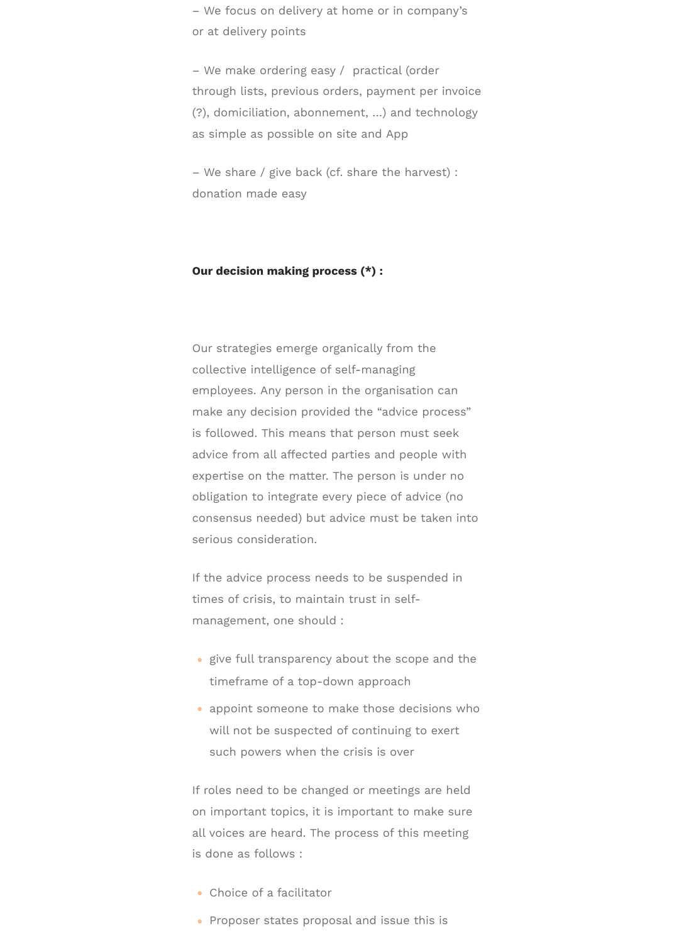– We focus on delivery at home or in company's or at delivery points

– We make ordering easy / practical (order through lists, previous orders, payment per invoice (?), domiciliation, abonnement, …) and technology as simple as possible on site and App

– We share / give back (cf. share the harvest) : donation made easy

#### **Our decision making process (\*) :**

Our strategies emerge organically from the collective intelligence of self-managing employees. Any person in the organisation can make any decision provided the "advice process" is followed. This means that person must seek advice from all affected parties and people with expertise on the matter. The person is under no obligation to integrate every piece of advice (no consensus needed) but advice must be taken into serious consideration.

If the advice process needs to be suspended in times of crisis, to maintain trust in selfmanagement, one should :

- give full transparency about the scope and the timeframe of a top-down approach
- appoint someone to make those decisions who will not be suspected of continuing to exert such powers when the crisis is over

If roles need to be changed or meetings are held on important topics, it is important to make sure all voices are heard. The process of this meeting is done as follows :

- Choice of a facilitator
- Proposer states proposal and issue this is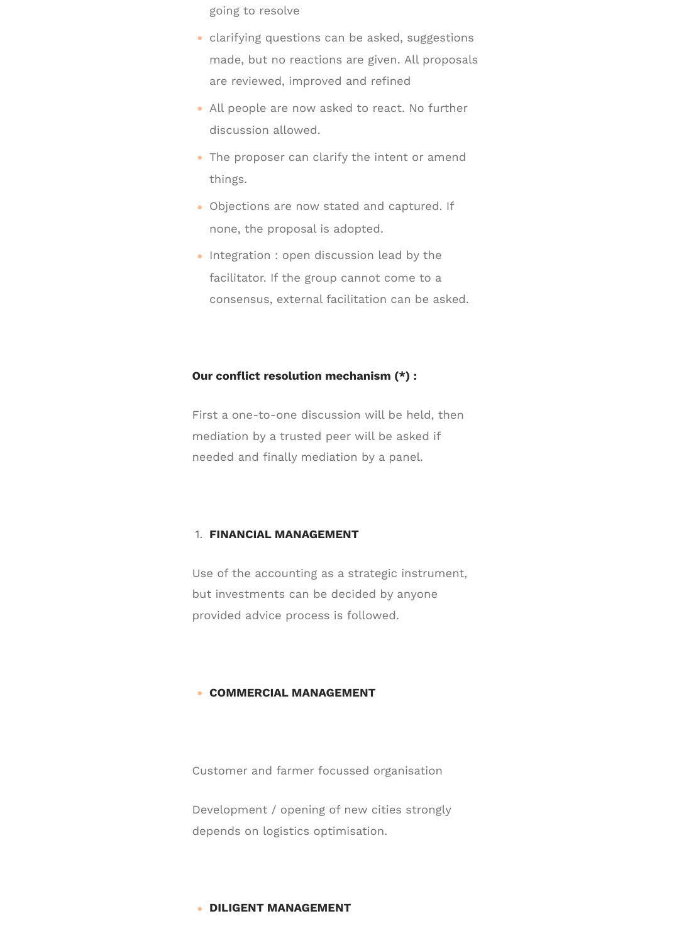going to resolve

- clarifying questions can be asked, suggestions made, but no reactions are given. All proposals are reviewed, improved and refined
- All people are now asked to react. No further discussion allowed.
- The proposer can clarify the intent or amend things.
- Objections are now stated and captured. If none, the proposal is adopted.
- Integration : open discussion lead by the facilitator. If the group cannot come to a consensus, external facilitation can be asked.

#### **Our conflict resolution mechanism (\*) :**

First a one-to-one discussion will be held, then mediation by a trusted peer will be asked if needed and finally mediation by a panel.

#### 1. **FINANCIAL MANAGEMENT**

Use of the accounting as a strategic instrument, but investments can be decided by anyone provided advice process is followed.

#### **• COMMERCIAL MANAGEMENT**

Customer and farmer focussed organisation

Development / opening of new cities strongly depends on logistics optimisation.

#### ( **DILIGENT MANAGEMENT**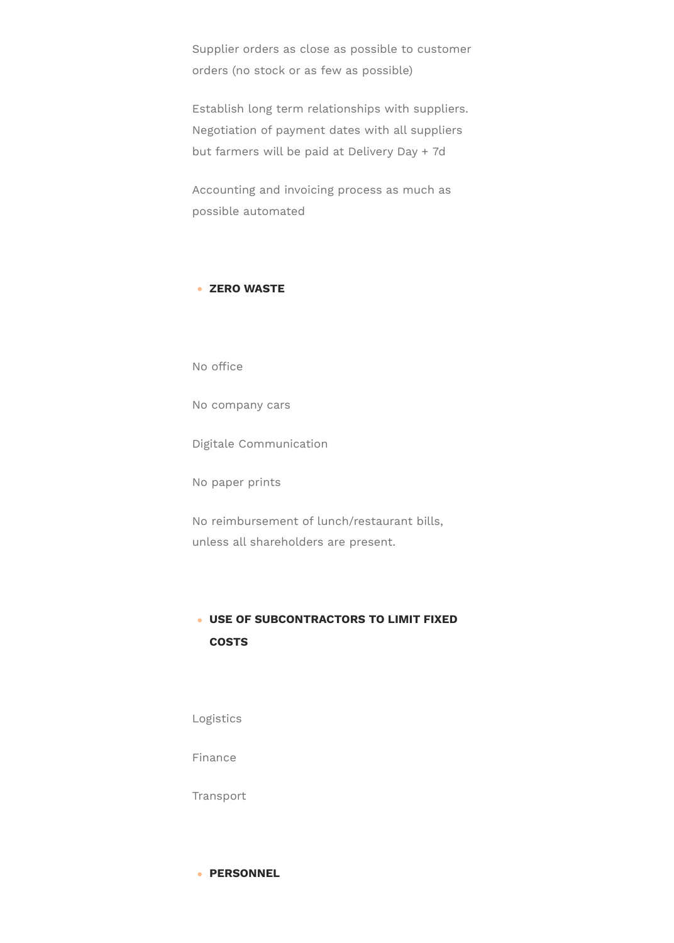Supplier orders as close as possible to customer orders (no stock or as few as possible)

Establish long term relationships with suppliers. Negotiation of payment dates with all suppliers but farmers will be paid at Delivery Day + 7d

Accounting and invoicing process as much as possible automated

## ( **ZERO WASTE**

No office

No company cars

Digitale Communication

No paper prints

No reimbursement of lunch/restaurant bills, unless all shareholders are present.

# ( **USE OF SUBCONTRACTORS TO LIMIT FIXED COSTS**

Logistics

Finance

Transport

( **PERSONNEL**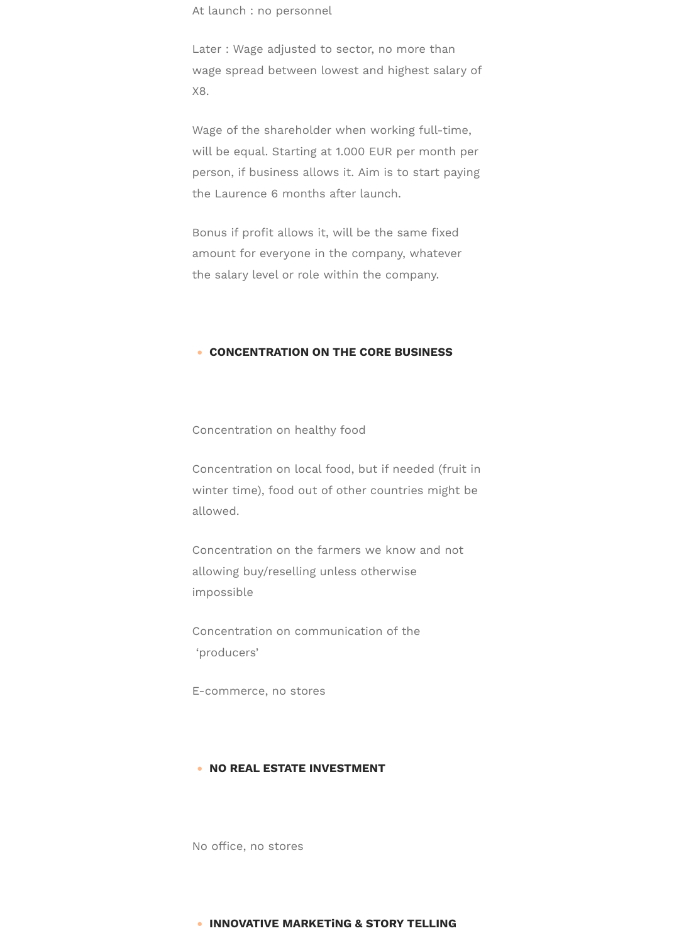At launch : no personnel

Later : Wage adjusted to sector, no more than wage spread between lowest and highest salary of X8.

Wage of the shareholder when working full-time, will be equal. Starting at 1.000 EUR per month per person, if business allows it. Aim is to start paying the Laurence 6 months after launch.

Bonus if profit allows it, will be the same fixed amount for everyone in the company, whatever the salary level or role within the company.

#### ( **CONCENTRATION ON THE CORE BUSINESS**

Concentration on healthy food

Concentration on local food, but if needed (fruit in winter time), food out of other countries might be allowed.

Concentration on the farmers we know and not allowing buy/reselling unless otherwise impossible

Concentration on communication of the 'producers'

E-commerce, no stores

#### **• NO REAL ESTATE INVESTMENT**

No office, no stores

#### ( **INNOVATIVE MARKETiNG & STORY TELLING**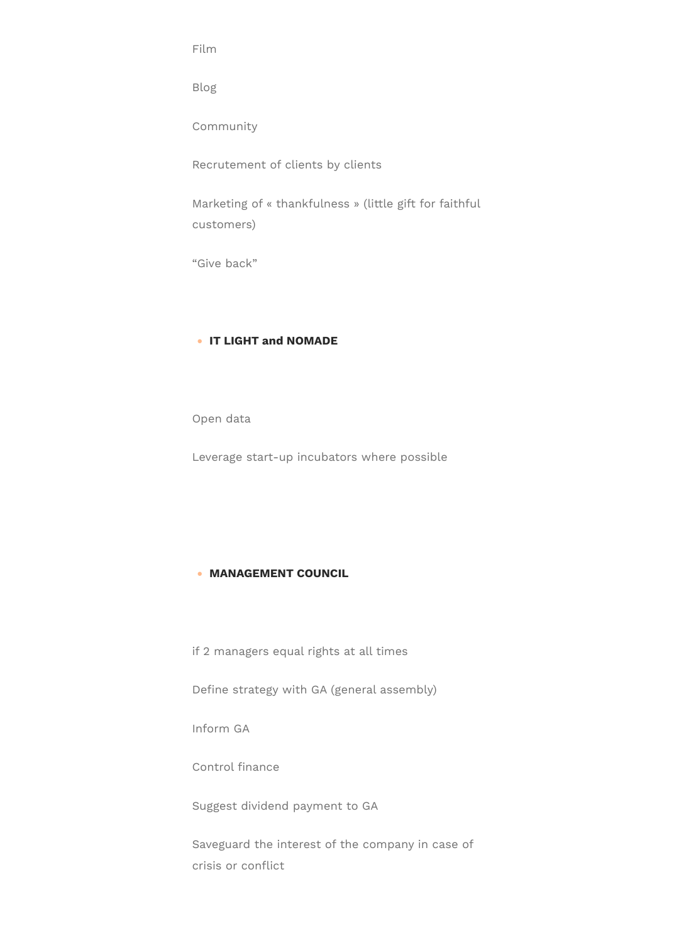Film

Blog

Community

Recrutement of clients by clients

Marketing of « thankfulness » (little gift for faithful customers)

"Give back"

## ( **IT LIGHT and NOMADE**

Open data

Leverage start-up incubators where possible

## ( **MANAGEMENT COUNCIL**

if 2 managers equal rights at all times

Define strategy with GA (general assembly)

Inform GA

Control finance

Suggest dividend payment to GA

Saveguard the interest of the company in case of crisis or conflict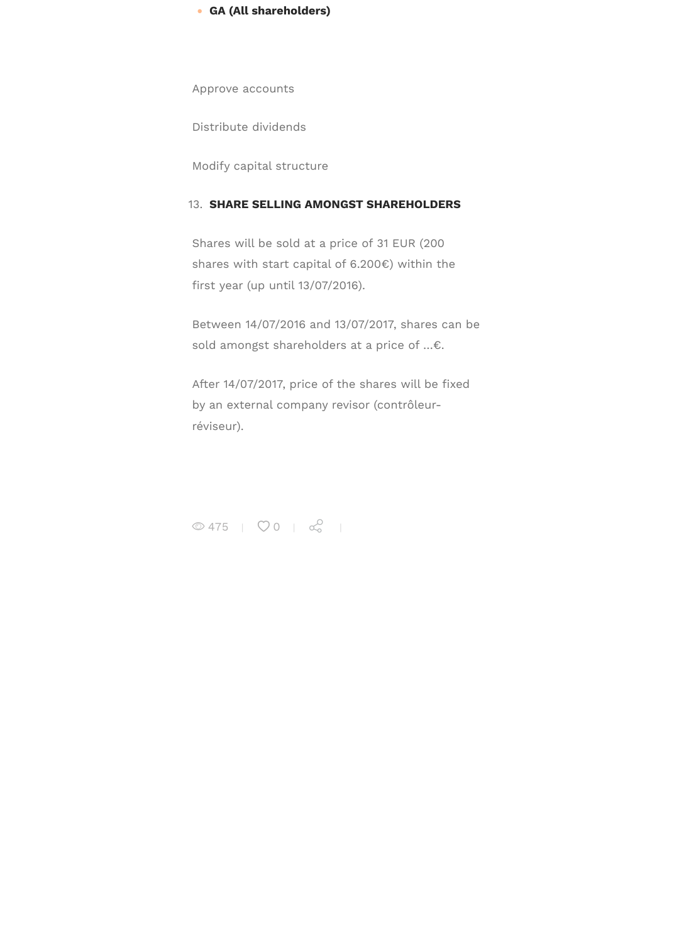#### 13. **SHARE SELLING AMONGST SHAREHOLDERS**

Shares will be sold at a price of 31 EUR (200 shares with start capital of 6.200€) within the first year (up until 13/07/2016).

Between 14/07/2016 and 13/07/2017, shares can be sold amongst shareholders at a price of …€.

After 14/07/2017, price of the shares will be fixed by an external company revisor (contrôleurréviseur).

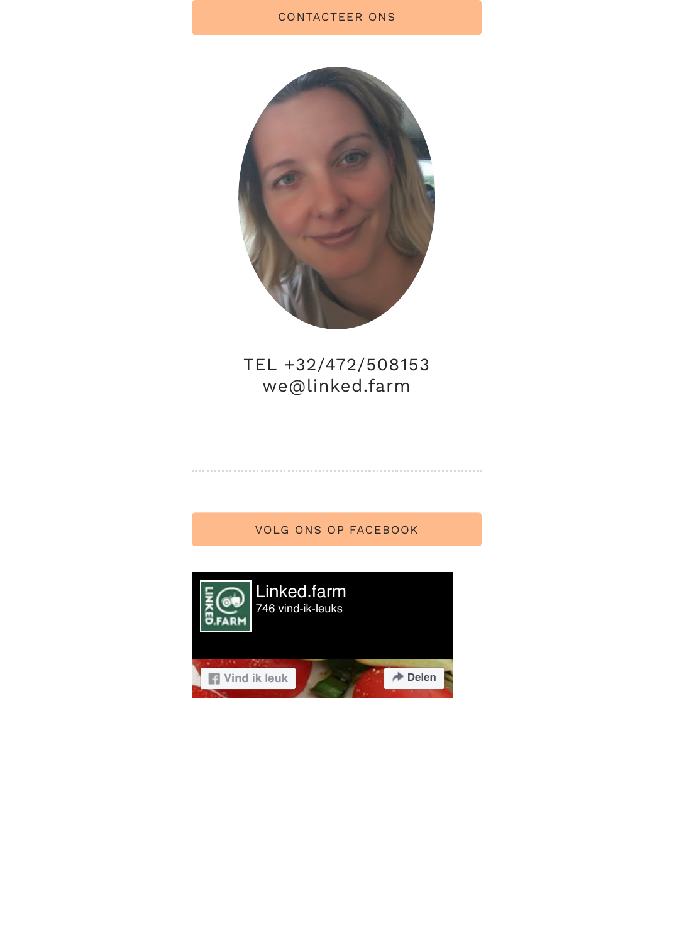

# TEL +32/472/508153 we@linked.farm

# VOLG ONS OP FACEBOOK

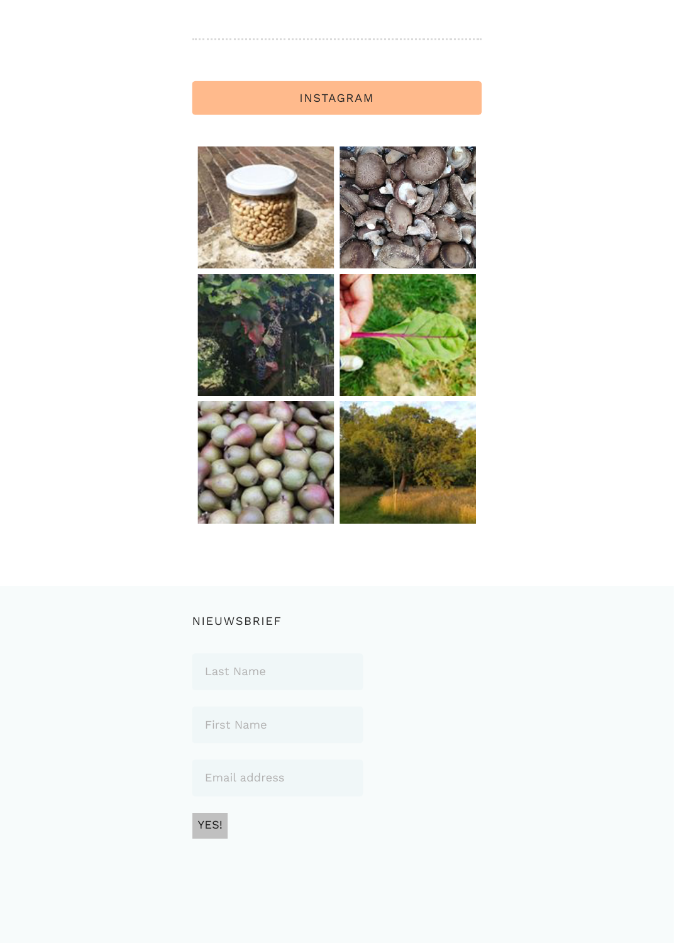

# [NIEUWSBRIEF](https://www.instagram.com/p/B2RN8A1HVO3/)

| Last Name     |  |
|---------------|--|
|               |  |
| First Name    |  |
|               |  |
| Email address |  |
|               |  |

YES!